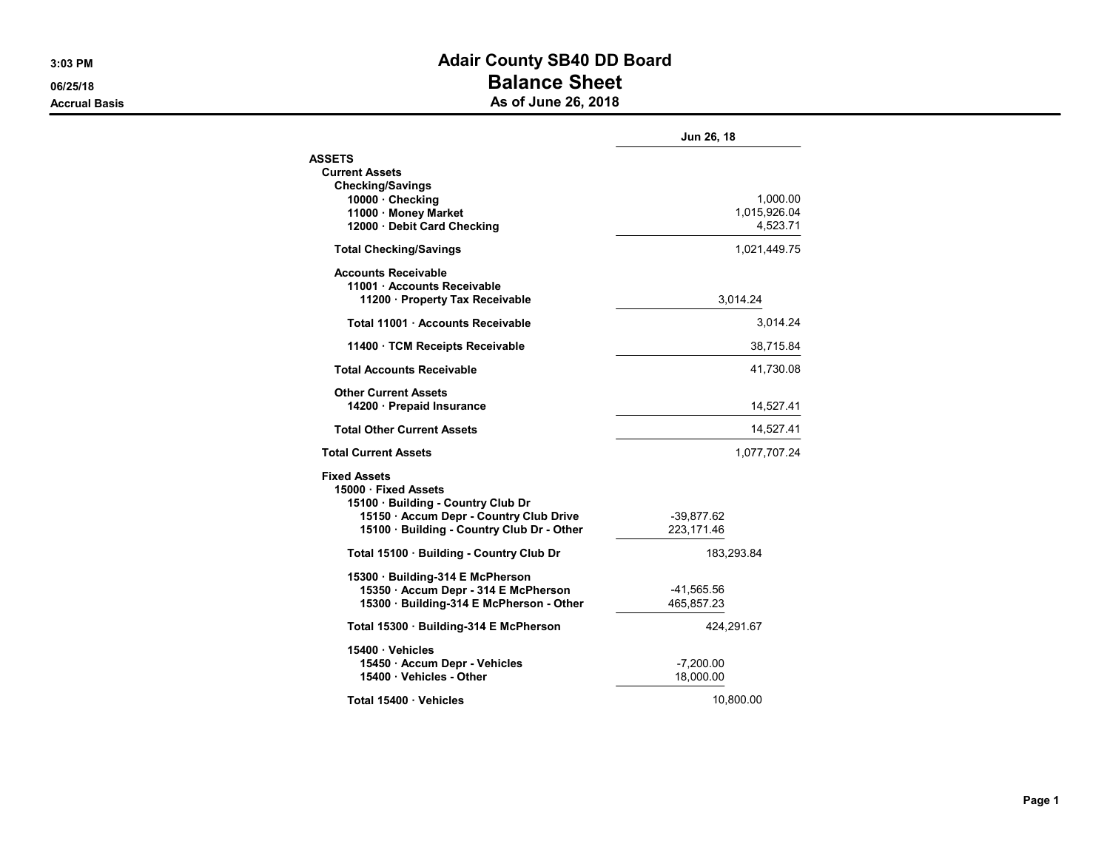## 3:03 PM BOARD AND THE SERVICE OF STREET AND ACAIT COUNTY SEAD DD BOARD 06/25/18 **Balance Sheet** Accrual Basis **Accrual Basis** As of June 26, 2018

|                                                                           | Jun 26, 18   |
|---------------------------------------------------------------------------|--------------|
| <b>ASSETS</b>                                                             |              |
| <b>Current Assets</b>                                                     |              |
| <b>Checking/Savings</b><br>10000 Checking                                 | 1,000.00     |
| 11000 · Money Market                                                      | 1,015,926.04 |
| 12000 Debit Card Checking                                                 | 4,523.71     |
| <b>Total Checking/Savings</b>                                             | 1,021,449.75 |
| <b>Accounts Receivable</b>                                                |              |
| 11001 · Accounts Receivable                                               |              |
| 11200 · Property Tax Receivable                                           | 3,014.24     |
| Total 11001 Accounts Receivable                                           | 3,014.24     |
| 11400 · TCM Receipts Receivable                                           | 38,715.84    |
| <b>Total Accounts Receivable</b>                                          | 41,730.08    |
| <b>Other Current Assets</b>                                               |              |
| 14200 Prepaid Insurance                                                   | 14,527.41    |
| <b>Total Other Current Assets</b>                                         | 14,527.41    |
| <b>Total Current Assets</b>                                               | 1,077,707.24 |
| <b>Fixed Assets</b>                                                       |              |
| 15000 · Fixed Assets                                                      |              |
| 15100 Building - Country Club Dr<br>15150 Accum Depr - Country Club Drive | $-39,877.62$ |
| 15100 Building - Country Club Dr - Other                                  | 223,171.46   |
| Total 15100 Building - Country Club Dr                                    | 183,293.84   |
| 15300 Building-314 E McPherson                                            |              |
| 15350 Accum Depr - 314 E McPherson                                        | -41,565.56   |
| 15300 Building-314 E McPherson - Other                                    | 465,857.23   |
| Total 15300 Building-314 E McPherson                                      | 424,291.67   |
| 15400 Vehicles                                                            |              |
| 15450 Accum Depr - Vehicles                                               | $-7,200.00$  |
| 15400 Vehicles - Other                                                    | 18,000.00    |
| Total 15400 Vehicles                                                      | 10,800.00    |